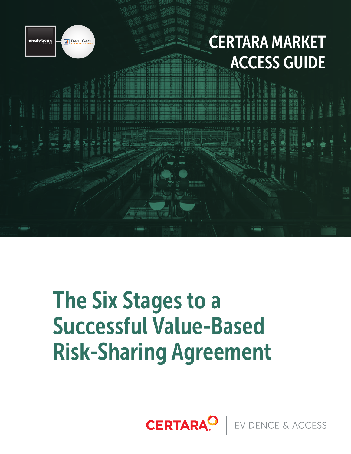

## CERTARA MARKET ACCESS GUIDE

# The Six Stages to a Successful Value-Based Risk-Sharing Agreement

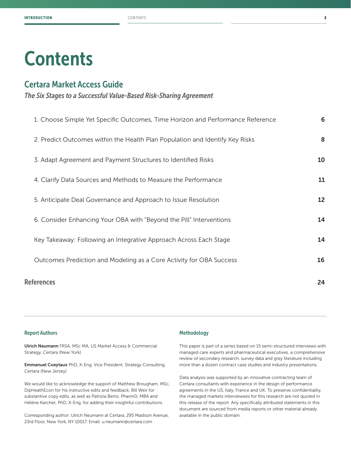## **Contents**

### Certara Market Access Guide

*The Six Stages to a Successful Value-Based Risk-Sharing Agreement*

|                   | 1. Choose Simple Yet Specific Outcomes, Time Horizon and Performance Reference | 6  |
|-------------------|--------------------------------------------------------------------------------|----|
|                   | 2. Predict Outcomes within the Health Plan Population and Identify Key Risks   | 8  |
|                   | 3. Adapt Agreement and Payment Structures to Identified Risks                  | 10 |
|                   | 4. Clarify Data Sources and Methods to Measure the Performance                 | 11 |
|                   | 5. Anticipate Deal Governance and Approach to Issue Resolution                 | 12 |
|                   | 6. Consider Enhancing Your OBA with "Beyond the Pill" Interventions            | 14 |
|                   | Key Takeaway: Following an Integrative Approach Across Each Stage              | 14 |
|                   | Outcomes Prediction and Modeling as a Core Activity for OBA Success            | 16 |
| <b>References</b> |                                                                                |    |

#### Report Authors

Ulrich Neumann FRSA, MSc MA, US Market Access & Commercial Strategy, *Certara* (New York)

Emmanuel Coeytaux PhD, X-Eng, Vice President, Strategy Consulting, *Certara* (New Jersey)

We would like to acknowledge the support of Matthew Brougham, MSc, DipHeathEcon for his instructive edits and feedback, Bill Weir for substantive copy edits, as well as Patrizia Berto, PharmD, MBA and Hélène Karcher, PhD, X-Eng, for adding their insightful contributions.

Corresponding author: Ulrich Neumann at Certara, 295 Madison Avenue, 23rd Floor, New York, NY 10017. Email: u.neumann@certara.com

#### Methodology

This paper is part of a series based on 15 semi-structured interviews with managed care experts and pharmaceutical executives, a comprehensive review of secondary research, survey data and grey literature including more than a dozen contract case studies and industry presentations.

Data analysis was supported by an innovative contracting team of Certara consultants with experience in the design of performance agreements in the US, Italy, France and UK. To preserve confidentiality, the managed markets interviewees for this research are not quoted in this release of the report. Any specifically attributed statements in this document are sourced from media reports or other material already available in the public domain.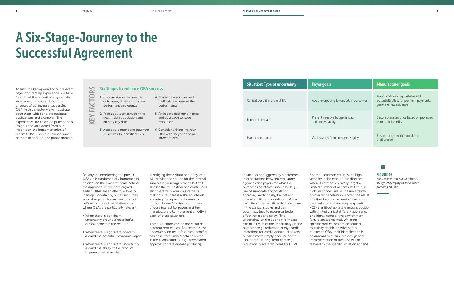*What payers and manufacturers are typically trying to solve when pursuing an OBA*

|                          | <b>Manufacturer goals</b>                                                                              |
|--------------------------|--------------------------------------------------------------------------------------------------------|
| g for uncertain outcomes | Avoid arbitrarily high rebates and<br>potentially allow for premium payments;<br>generate new evidence |
| budget impact<br>.V      | Secure premium price based on projected<br>economic benefits                                           |
| m competitive play       | Ensure robust market uptake or<br>limit erosion                                                        |

## $\vert \hat{} \rangle$

- 1 Choose simple yet specific outcomes, time horizon, and performance reference
- KEY FACTORS EĂ 2 Predict outcomes within the KEY health plan population and identify key risks
	- **3** Adapt agreement and payment structures to identified risks
- 4 Clarify data sources and methods to measure the performance
- **5** Anticipate deal governance and approach to issue resolution
	- **6** Consider enhancing your OBA with "beyond the pill" interventions

Situation: Type of uncertainty **Payer goals** Clinical benefit in the real-life Avoid overpaying for uncertainty Economic impact **Prevent negative Prevent negative** and limit volatilit Market penetration Market penetration Ensure robust market uptake or

Against the background of our relevant payer contracting experience, we have found that the pursuit of a systematic six-stage-process can boost the chances of achieving a successful OBA. In this chapter we will illustrate each stage with concrete business applications and examples. The experiences are based on practitioners' insights and abstracted from our insights on the implementation of recent OBAs – some disclosed, most of them kept out of the public domain.

- When there is significant uncertainty around a meaningful clinical benefit in the real-life
- When there is significant concern around the potential economic impact
- When there is significant uncertainty around the ability of the product to penetrate the market.

# A Six-Stage-Journey to the Successful Agreement

 $\tilde{\mathbf{r}}$ 

CTO

#### Six Stages to enhance OBA success

For anyone considering the pursuit OBAs, it is fundamentally important to be clear on the exact rationale behind the approach. As we have argued earlier, OBAs are an effective tool to manage uncertainty, but as such they are not required for just any product. Let's revisit three typical situations where OBAs are particularly relevant:

Identifying these situations is key, as it will provide the source for the internal support in your organization but will also be the foundation of a continuous alignment with your counterparts, making sure there is a shared interest in seeing the agreement come to fruition. Figure 16 offers a summary of core interest for payers and the manufacturers to implement an OBA in each of these situations.

These situations can be the result of different root causes. For example, the uncertainty on real-life clinical benefits can arise from limited data collected in the pivotal studies (e.g., accelerated approvals or rare disease products).

It can also be triggered by a difference in expectations between regulatory agencies and payers for what the outcomes of interest should be (e.g., use of surrogate endpoints for approval). Additionally, the patient characteristics and conditions of use can often differ significantly from those in the clinical studies and can potentially lead to poorer or better effectiveness and safety. The uncertainty on the economic impact can be a result of the uncertainty on the outcome (e.g., reduction in myocardial infarctions for cardiovascular products), but also more simply because of the lack of robust long-term data (e.g., reduction in liver transplant for HCV).

Another common cause is the high volatility in the case of rare diseases, where treatments typically target a limited number of patients, but with a high unit price. Finally, the uncertainty on market penetration is often the result of either two similar products entering the market simultaneously (e.g., anti PCSK9 antibodies), a late entrant position with limited clinical differentiation and/ or a highly competitive environment (e.g., diabetes market). While the specific root causes are not critical to initially decide on whether to pursue an OBA, their identification is paramount to ensure the design and implementation of the OBA will be tailored to the specific situation at hand.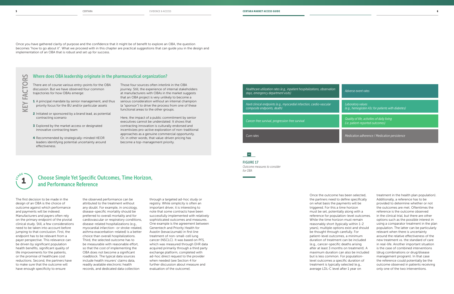FIGURE 17 *Outcome measures to consider for OBA*

## Where does OBA leadership originate in the pharmaceutical organization?  $\sim$ KEY FACTORS **CTOR**

#### $\sim$

| Healthcare utilization rates (e.g., inpatient hospitalizations, observation<br>stays, emergency department visits) | Adverse event rates                                                             |
|--------------------------------------------------------------------------------------------------------------------|---------------------------------------------------------------------------------|
| Hard clinical endpoints (e.g., myocardial infarction, cardio-vascular<br>composite endpoints, death)               | Laboratory values<br>(e.g., hemoglobin A1c for patients with diabetes)          |
| Cancer-free survival, progression-free survival                                                                    | Quality of life, activities of daily living<br>(i.e. patient-reported outcomes) |
| Cure rates                                                                                                         | Medication adherence / Medication persistence                                   |

- 1 A principal mandate by senior management, and thus priority focus for the BU and/or particular assets
- 2 Initiated or sponsored by a brand lead, as potential contracting scenario
- **3** Explored by the market access or designated innovative contracting team
- 4 Recommended by strategically-minded HEOR leaders identifying potential uncertainty around effectiveness.

Once you have gathered clarity of purpose and the confidence that it might be of benefit to explore an OBA, the question becomes "how to go about it". What we proceed with in this chapter are practical suggestions that can guide you in the design and implementation of an OBA that is robust and set up for success.

There are of course various entry-points for the OBA discussion. But we have observed four common trajectories for how OBAs emerge:

Those four sources often interlink in the OBA journey. Still, the experience of internal stakeholders at manufacturers with OBAs in the market suggests that an OBA project is very unlikely to become a serious consideration without an internal champion (a "sponsor") to drive the process from one of these functional areas to the other groups.

Here, the impact of a public commitment by senior executives cannot be understated: It shows that contracting innovation is culturally endorsed and incentivizes pro-active exploration of non-traditional approaches as a genuine commercial opportunity. Or, in other words, that value-driven pricing has become a top-management priority.

## Choose Simple Yet Specific Outcomes, Time Horizon, and Performance Reference

The first decision to be made in the design of an OBA is the choice of outcome against which performance and payments will be indexed. Manufacturers and payers often rely on the primary endpoint of the pivotal clinical study. Still, a few considerations need to be taken into account before jumping to that conclusion. First, the endpoint has to be relevant from a payer perspective. This relevance can be driven by significant population health benefits, significant quality of life improvements for the patients, or the promise of healthcare cost reductions. Second, the partners have to make sure that the outcome will have enough specificity to ensure

the observed performance can be attributed to the treatment without any doubt. For example, in oncology, disease-specific mortality should be preferred to overall mortality and for cardiovascular or respiratory conditions, disease-related hospitalizations (e.g., myocardial infarction- or stroke-related, asthma exacerbation-related) is a better choice than overall hospitalizations. Third, the selected outcome has to be measurable with reasonable effort, so that the cost of implementing the OBA does not become a significant roadblock. The typical data sources include health insurers' claims data, readily available electronic health records, and dedicated data collection

through a targeted ad-hoc study or registry. While simplicity is often an important driver, it is interesting to note that some contracts have been successfully implemented with relatively sophisticated outcomes and measures. One example is the agreement between Genentech and Priority Health for Avastin (bevacizumab) in first line treatment of non-small-cell lung cancer (NSCLC). It was based on PFS, which was measured through EHR data acquired primarily through a third party exchange platform, completed with ad-hoc direct request to the provider when needed (see Section 4 for further discussion about measure and evaluation of the outcome).



 $\tilde{A}$ 

 $\geq$  $\!\!\!\leq$ 

> Once the outcome has been selected, the partners need to define specifically on what basis the payments will be triggered. For this a time horizon must be set, potentially along with a reference for population-level outcomes. While the time horizon must remain reasonably short (typically within 1-2 years), multiple options exist and should be thought through carefully. For patient-level outcomes, a minimum duration of treatment can be included (e.g., cancer-specific deaths arising after at least 3 months on treatment). A maximum duration can also be included but is less common. For populationlevel outcomes a specific duration of treatment is typically selected (e.g., average LDL-C level after 1 year on

treatment in the health plan population). Additionally, a reference has to be provided to determine whether or not the outcomes are met. Oftentimes the reference is the outcome observed in the clinical trial, but there are other options such as the possible interest in using a comparator treatment in the plan population. The latter can be particularly relevant when there is uncertainty around the relative effectiveness of the new treatment vs. the standard of care in real-life. Another important situation is the case of combined interventions (drug combinations or drug/disease management program). In that case the reference could potentially be the outcome observed in patients receiving only one of the two interventions.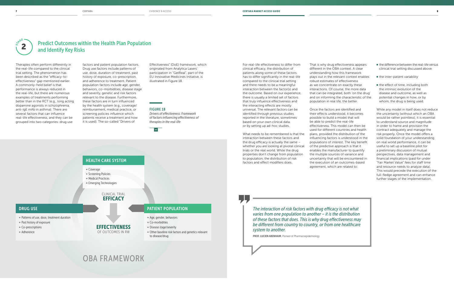#### CLINICAL TRIAL **EFFICACY**

*Drivers of effectiveness: Framework of factors influencing effectiveness of therapies in the real-life*

#### $\overline{|\mathbf{v}|}$

EFFECTIVENESS OF OUTCOMES IN RW

## OBA FRAMEWORK

## HEALTH CARE SYSTEM

- **+** Coverage
- **+** Screening Policies
- **+** Medical Practices
- **+** Emerging Technologies

#### DRUG USE

- **+** Patterns of use, dose, treatment duration
- **+** Past history of exposure
- **+** Co-prescriptions
- **+** Adherence

#### PATIENT POPULATION

- **+** Age, gender, behaviors
- **+** Co-morbidities
	- **+** Disease stage/severity
	- **+** Other baseline risk factors and genetics relevant to disease/drug

## Predict Outcomes within the Health Plan Population and Identify Key Risks

Therapies often perform differently in the real-life compared to the clinical trial setting. The phenomenon has been described as the "efficacy-toeffectiveness" gap mentioned earlier. A commonly-held belief is that performance is always reduced in the real-life, but there are numerous examples of treatments performing better than in the RCT (e.g., long acting dopamine agonists in schizophrenia, anti-IgE mAb in asthma). There are several factors that can influence real-life effectiveness, and they can be grouped into two categories: drug use

factors and patient population factors. Drug use factors include patterns of use, dose, duration of treatment, past history of exposure, co-prescription, and adherence to treatment. Patient population factors include age, gender, behaviors, co-morbidities, disease stage and severity, genetic and risk factors relevant to the disease. Furthermore, these factors are in turn influenced by the health system (e.g., coverage/ reimbursement, medical practice, or screening policies influence which patients receive a treatment and how it is used). The so-called "Drivers of

Effectiveness" (DoE) framework, which originated from Analytica Lasers' participation in "GetReal", part of the EU Innovative Medicines Initiative, is illustrated in Figure 18.



- the difference between the real-life versus clinical trial setting discussed above
- the inter-patient variability
- the effect of time, including both the intrinsic evolution of the disease and outcome, as well as potential changes in how, or by whom, the drug is being used.

For real-life effectiveness to differ from clinical efficacy, the distribution of patients along some of these factors has to differ significantly in the real-life compared to the clinical trial setting and there needs to be a meaningful interaction between the factor(s) and the outcome. Based on our experience, there is usually a limited set of factors that truly influence effectiveness and the interacting effects are mostly universal. The relevant factors can be identified through previous studies reported in the literature, sometimes based on your own clinical data, or by setting up ad-hoc studies.

What needs to be remembered is that the interaction between these factors and the drug efficacy is actually the same – whether you are looking at pivotal clinical trials or the real world. While the drug properties don't change from population to population, the distribution of risk factors and effect modifiers does.

That is why drug effectiveness appears different in the OBA context. A clear understanding how this framework plays out in the relevant context enables robust estimates of effectiveness as we concentrate on exactly these interactions. Of course, the more data that can be integrated, both 'on the drug' and on informing the characteristic of the population in real life, the better.

Once the factors are identified and their effects understood, it becomes possible to build a model that will be able to predict the real-life effectiveness. This model can then be used for different countries and health plans, provided the distribution of the influencing factors is understood in the populations of interest. The key benefit of the predictive approach is that it enables the manufacturer to quantify the multiple sources of variance and uncertainty that will be encountered in the execution of an outcomes-based agreement, which are related to:

While any model in itself does not reduce the uncertainty (without which an OBA would be rather pointless), it is essential to understand source and magnitude in order to frame and provision the contract adequately and manage the risk properly. Once the model offers a solid foundation of your understanding on real world performance, it can be useful to set up a baseline pilot for a preliminary discussion of mutual perspectives, data management and financial implications (paid for under "Fair Market Value" fees for staff time and resource needs to analyze data). This would precede the execution of the full-fledge agreement and can enhance further stages of the implementation.

*The interaction of risk factors with drug efficacy is not what varies from one population to another – it is the distribution of these factors that does. This is why drug effectiveness may be different from country to country, or from one healthcare system to another.*

PROF. LUCIEN ABENHAIM, Pioneer of Pharmacoepidemiology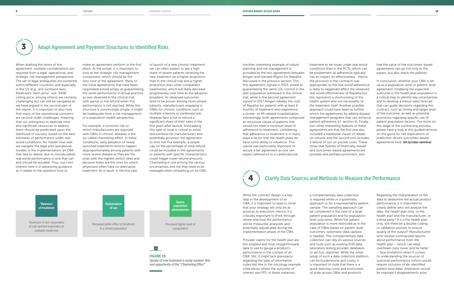

FIGURE 19 *Uptake of new treatment is rarely random: Risk and opportunity of the "Channeling Effect"*

Another interesting example of robust planning and risk management is provided by the two agreements between Amgen and Harvard Pilgrim for Repatha discussed in the previous section. The first agreement, signed in 2015, aimed at guaranteeing the same LDL control in the plan population witnessed in the clinical trial, while in the second agreement signed in 2017 Amgen rebates the cost of Repatha for patients with at least 6 months of treatment who experience a stroke- or MI-related hospitalization. Interestingly, both agreements comprised an exclusion clause of patients that would not meet a minimum level of adherence to treatment, considering that adherence to treatment is in many ways a factor that the health plans do have some ability to influence. This clause was particularly important to secure a fair agreement as one can expect adherence to a cardiovascular

treatment to be lower under real world conditions than in the RCTs, which can be problematic as adherence typically has an impact on effectiveness. Hence, the provision in the contracts was appropriate, as the real world adherence is likely to negatively affect the observed real world effectiveness of Repatha but this represents a shortcoming of the health system and not necessarily of the treatment itself. Another possible approach could have been to further enrich the agreements by adding disease management programs that can enhance patient adherence (cf. section 6). Finally, two other interesting features of these agreements are that the first one also included a traditional clause of rebate on volume and the second one includes a refund of out-of-pocket costs. These show that hybrids of financially-based and outcomes-based agreements are possible and perhaps prominent, and

that the value of the outcomes-based agreements can go not only to the payers, but also reach the patients.

In conclusion, whether your OBA is set up as a population-level or patient-level agreement, modeling the expected outcome in the health plan population is a critical step to identify key uncertainties and to develop a robust sales forecast that can guide decisions regarding the contract, such as timing and target level of the outcome, as well as potential provisions regarding specific use of patient population factors. For more on this stage of the contracting process, please have a look at this guided seminar on the gross-to-net implications of prediction-driven outcomes-based agreements here: bit.ly/oba-seminar

## Adapt Agreement and Payment Structures to Identified Risks

When drafting the terms of the agreement, multiple considerations are required from a legal, operational, and strategic risk management perspective. The set of legal ambiguities encountered within different countries, and especially in the US (e.g., anti-kickback laws, Medicaid's "best-price" rule, 340B ceiling price, among others) are certainly challenging but can still be navigated as we have argued in the second part of this report. It is important to also note that many of the operational concerns are second-order challenges, meaning that our willingness to dedicate time and significant resources to address them should be predicated upon the likelihood of success, based on the best estimates of performance under real world conditions. No matter how well we navigate the legal and operational hurdles in the implementation, an OBA that fails to deliver due to miscalculated real world performance is one that can and should be avoided. Thus, our core interest here is in advancing guidance as it relates to the question how to

SARGE 3

> make an agreement perform in the first place. At the outset, it is important to look at the strategic risk management component, which should be the very core of the agreement. Many of the initial agreements that have been negotiated aimed simply at guaranteeing the same performance in actual practice as was observed in the clinical trial, with partial or full refund when this performance is not reached. While this structure is convincingly simple, it might be inadequate from a risk management or a population health perspective.

For example, a common risk to which manufacturers are exposed with OBAs in chronic diseases is the so-called channeling effect. In these conditions, early adoption of newly launched treatments tend to happen disproportionately among patients with more severe disease as they are the ones with the highest switch rates and because these are the ones for which physicians often have no alternative treatment. As a result, in the first year

of launch of a new chronic treatment,

we can often expect to see a high share of severe patients receiving the new treatment (at a higher proportion than in the clinical trial and a higher proportion than other comparator treatments), which will likely decrease progressively over time as the adoption broadens. As observed outcomes tend to be poorer among more severe patients, manufacturers engaging in OBAs for chronic conditions such as multiple sclerosis or cardiovascular diseases face a risk to refund a significant share of their sales in the first years after launch. Anticipating this type of issue is critical to avoid disincentives for manufacturers and potentially provision the agreement to limit risk. For example, a simple cap on the percentage of total refund could be included in the agreements, or patients with specific characteristics could trigger lower refund amounts. Channeling is one among the various uncertainties and risk that need to be managed when embarking on an OBA.

> While the contract design is a key step in the development of an OBA, it is important to keep in mind that your strategy will only be as good as its execution. Hence, it is critically important to think through where and how the performance will be measured, analyzed, and potentially adjudicated during the implementation phase of the OBA.

Provider claims for the health plan are the simplest and most straightforward data to use to gauge a product's performance in the context of an OBA. Still, it might lack granularity regarding the type of information collected, like in the oncology example cited above where the outcome of interest was PFS. In these instances,

#### Clarify Data Sources and Methods to Measure the Performance **STAGE** 4

a complementary data collection is required either in a systematic approach or for a representative patient sample. The sampling approach can be considered in the case of a large patient population and for populationlevel outcomes. When the patient population is more restricted as in the case of OBAs based on patient-level outcomes, systematic data capture is needed. This complementary data collection can rely on various sources and tools such as existing EHR data, laboratory testing provider databases or ad-hoc registries. While the initial setup of such a data collection platform can be burdensome and costly, it is important to note that there is a quick learning curve and economies of scale across OBAs and products.

Regarding the interpretation of the data to determine the actual product performance, it is important to clearly define who will analyze the data: the health plan only, or the health plan and the manufacturer, or a third party? If it is the health plan only, will there be a double coding or validation process to ensure quality of the output? Manufacturers who receive summarized reports about performance from the health plan – which can keep overhead costs lower and be faster – face limitations when it comes to understanding the sources of outcome performance (which would require inclusion of de-identified patient level data). Arbitration would be required if disagreements arise.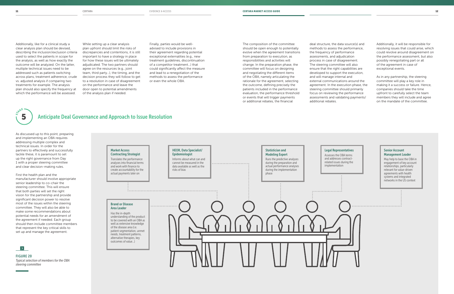FIGURE 20 *Typical selection of members for the OBA steering committee* 

Brand or Disease Area Leader Has the in-depth

of the disease area (i.e.

needs, treatment patterns, alternative therapies, key outcomes of value…)

Market Access Contracting Strategist



and work with finance to

actual payments later on

#### Senior Account Management Leader

May help to base the OBA in engagement of key account relationships, particularly relevant for value-driven agreements with health systems and integrated networks in the US context

The composition of the committee should be open enough to potentially evolve when the agreement transitions from preparation to execution, as responsibilities and activities will change. In the preparation phase, the committee will focus on designing and negotiating the different items of the OBA, namely articulating the rationale for the agreement, selecting the outcome, defining precisely the patients included in the performance evaluation, the performance threshold or events that will trigger payments or additional rebates, the financial

deal structure, the data source(s) and methods to assess the performance, process in case of disagreement. The steering committee will also ensure that the right capabilities are developed to support the execution, external communications around the agreement. In the execution phase, the steering committee should primarily focus on reviewing the performance assessments and validating payments/

the frequency of performance assessments, and adjudication and will manage internal and additional rebates.

Additionally, it will be responsible for resolving issues that could arise, which could revolve around disagreement on the performance assessment, but also possibly renegotiating part or all of the agreement in case of exceptional events.

## SARGE 5

As in any partnership, the steering committee will play a key role in making it a success or failure. Hence, companies should take the time upfront to carefully select the team members they will include and agree on the mandate of the committee.

Additionally, like for a clinical study a clear analysis plan should be devised, describing the inclusion/exclusion criteria used to select the patients in scope for the analysis, as well as how exactly the outcome will be analyzed. On the latter, multiple technical issues need to be addressed such as patients switching across plans, treatment adherence, crude vs. adjusted analysis if comparing two treatments for example. The analysis plan should also specify the frequency at which the performance will be assessed.

While setting up a clear analysis plan upfront should limit the risks of discrepancies and contentions, it is still important to have a strategy in place for how these issues will be ultimately adjudicated. The two partners should agree on the resources (e.g., joint team, third party…), the timing, and the decision process they will follow to get to a resolution in case of disagreement on the performance and leave the door open to potential amendments of the analysis plan if needed.

Finally, parties would be welladvised to include provisions in their agreement regarding potential exceptional externalities (e.g., new treatment guidelines, discontinuation of a competitor treatment…) that could significantly affect the measure and lead to a renegotiation of the methods to assess the performance or even the whole OBA.

## Anticipate Deal Governance and Approach to Issue Resolution

As discussed up to this point, preparing and implementing an OBA requires addressing multiple complex and technical issues. In order for the partners to effectively and successfully tackle these, it is paramount to set up the right governance from Day 1 with a proper steering committee and clear decision-making rules.

First the health plan and the manufacturer should involve appropriate senior leadership to co-chair the steering committee. This will ensure that both parties will set the right vision for the partnership and provide significant decision power to resolve most of the issues within the steering committee. They will also be able to make some recommendations about potential needs for an amendment of the agreement if needed. Each group should then include committee members that represent the key critical skills to set up and manage the agreement.

### $\rightarrow$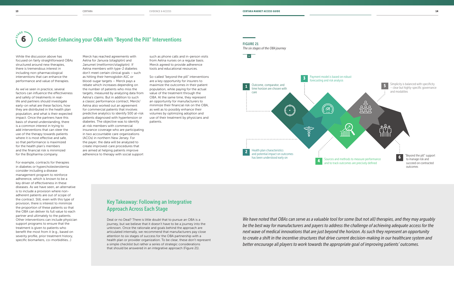*The six stages of the OBA journey*



## Consider Enhancing your OBA with "Beyond the Pill" Interventions

While the discussion above has focused on fairly straightforward OBAs structured around new therapies, there is tremendous interest in including non-pharmacological interventions that can enhance the performance and value of therapies.

As we've seen in practice, several factors can influence the effectiveness and safety of treatments in reallife and partners should investigate early-on what are these factors, how they are distributed in the health plan population, and what is their expected impact. Once the partners have this basis of shared understanding, there is a common interest in trying to add interventions that can steer the use of the therapy towards patients where it is most effective and safe, so that performance is maximized for the health plan's members and the financial risk is minimized for the Biopharma company.

For example, contracts for therapies in diabetes or hypercholesterolemia consider including a disease management program to reinforce adherence, which is known to be a key driver of effectiveness in these diseases. As we have seen, an alternative is to include a provision where nonadherent patients are out of scope of the contract. Still, even with this type of provision, there is interest to minimize the proportion of these patients so that the OBA can deliver its full value to each partner and ultimately to the patients. Other interventions can include physician support programs to ensure that the treatment is given to patients who benefit the most from it (e.g., based on severity profile, prior treatment history, specific biomarkers, co-morbidities…)

Merck has reached agreements with Aetna for Januvia (sitagliptin) and Janumet (metformin/sitagliptin): If Aetna members with type-2 diabetes don't meet certain clinical goals – such as hitting their hemoglobin A1C or blood-sugar targets – Merck pays a rebate which increases depending on the number of patients who miss the targets, measured by analyzing data from Aetna's claims. But in addition to such a classic performance contract, Merck/ Aetna also worked out an agreement for commercial patients that involves predictive analytics to identify 500 at-risk patients diagnosed with hypertension or diabetes. The objective was to identify at-risk members with commercial insurance coverage who are participating in two accountable care organizations (ACOs) in northern New Jersey. For the payer, the data will be analyzed to create improved-care procedures that are aimed at helping patients improve adherence to therapy with social support

such as phone calls and in-person visits from Aetna nurses on a regular basis. Merck agreed to provide adherence tools and educational resources.

So-called "beyond the pill" interventions are a key opportunity for insurers to maximize the outcomes in their patient population, while paying for the actual value of the treatment through the OBA. At the same time, they represent an opportunity for manufacturers to minimize their financial risk on the OBA, as well as to possibly enhance their volumes by optimizing adoption and use of their treatment by physicians and patients.



## Key Takeaway: Following an Integrative Approach Across Each Stage

Deal or no Deal? There is little doubt that to pursue an OBA is a journey, but we believe that it doesn't have to be a journey into the unknown. Once the rationale and goals behind the approach are articulated internally, we recommend that manufacturers pay close attention to six stages of success for the OBA partnership with a health plan or provider organization. To be clear, these don't represent a simple checklist but rather a series of strategic considerations that should be answered in an integrative approach (Figure 21).

*We have noted that OBAs can serve as a valuable tool for some (but not all) therapies, and they may arguably be the best way for manufacturers and payers to address the challenge of achieving adequate access for the next wave of medical innovations that are just beyond the horizon. As such they represent an opportunity to create a shift in the incentive structures that drive current decision-making in our healthcare system and better encourage all players to work towards the appropriate goal of improving patients' outcomes.*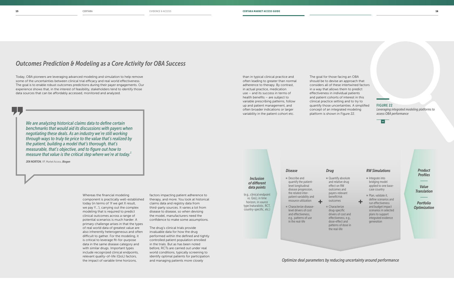*Leveraging integrated modeling platforms to assess OBA performance*

### *Inclusion of different data points*

■ Describe and quantify the patientlevel longitudinal disease progression, the related interpatient variability and resource utilization

(e.g., clinical endpoint vs. QoL), in time horizon, in source type (naturalistic, RCT, country-specific, etc.)

■ Characterize diseaselevel drivers of cost and effectiveness, e.g., patterns of use in the real-life

*Disease*

■ Quantify absolute and relative drug effect on RW outcomes and payers-relevant benefit/risk

 $+$   $\frac{\text{outcomes}}{\text{otherwise}}$   $+$ ■ Characterize drug-specific drivers of cost and effectiveness, e.g., dose-effect and patterns of dose in the real-life

- $\blacksquare$  Integrate into bridging model applied to one basecase country
- Plan, validate it, define scenarios and run effectiveness and budget impact scenarios in selected plans to support integrated evidence generation

*Drug*

#### *RW Simulations*

*Product Profiles*

*Value Translation*

*Portfolio Optimization*

*Optimize deal parameters by reducing uncertainty around performance*



## *Outcomes Prediction & Modeling as a Core Activity for OBA Success*

Today, OBA pioneers are leveraging advanced modeling and simulation to help remove some of the uncertainties between clinical trial efficacy and real world effectiveness. The goal is to enable robust outcomes predictions during their payer engagements. Our experience shows that, in the interest of feasibility, stakeholders tend to identify those data sources that can be affordably accessed, monitored and analyzed.

> Whereas the financial modeling component is practically well-established today (in terms of 'If we get X result, we pay Y…'), carrying out the complex modeling that is required to predict clinical outcomes across a range of potential scenarios is much harder. A primary challenge arises in that the types of real world data of greatest value are also inherently heterogeneous and often difficult to gather. For the modeling, it is critical to leverage fit-for-purpose data in the same disease category and with similar drugs. Important types include recognized clinical endpoints, relevant quality-of-life (QoL) factors, the impact of variable time horizons,

factors impacting patient adherence to therapy, and more. You look at historical claims data and registry data from third-party sources. It varies a lot from disease to disease, so when devising the model, manufacturers need the confidence to make some assumptions.

The drug's clinical trials provide invaluable data for how the drug performed within the defined and tightly controlled patient population enrolled in the trials. But as has been noted before, RCTs are carried out under real world conditions, typically screening to identify optimal patients for participation and managing patients more closely

than in typical clinical practice and often leading to greater than normal adherence to therapy. By contrast, in actual practice, medication use – and its success in terms of health benefits – are subject to variable prescribing patterns, follow up and patient management, and often broader indications or larger variability in the patient cohort etc.

The goal for those facing an OBA should be to devise an approach that considers all of these intertwined factors in a way that allows them to predict effectiveness in individual patients and patient cohorts of interest in this clinical practice setting and to try to quantify those uncertainties. A simplified concept of an integrated modeling platform is shown in Figure 22.

*We are analyzing historical claims data to define certain benchmarks that would aid its discussions with payers when negotiating these deals. As an industry we're still working through ways to truly tie price to the value that's realized by the patient, building a model that's thorough, that's measurable, that's objective, and to figure out how to measure that value is the critical step where we're at today.<sup>1</sup>*

JEN NORTON, VP, Market Access, *Biogen*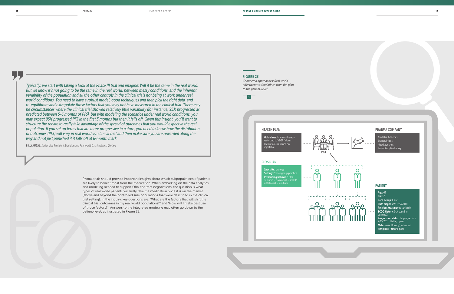## HEALTH PLAN Guidelines: Immunotherapy restricted to VEGF failures Patient co-insurance on iniectable **P&T** PHYSICIAN **Specialty: Urology**  $\mathbf O$ Setting: Private group practice Prescribing behavior: 60% sunitinib – nivolomab – mTOR; 40% torisel – sunitinib ၀႕၀ ၀႕၀





*Connected approaches: Real world effectiveness simulations from the plan to the patient-level* 

## $\overline{\mathsf{K}}$

Available Generics Brands/Prices New Launches omotion/Marketing

#### PHARMA COMPANY

#### PATIENT

Age: 62 BMI: 28 Race Group: Cauc Date diagnosed: 1/27/2010 Previous treatments: sunitinib ECOG history: 0 at baseline, current 2 Progression status: 1st progression, 2/15/2011, Stable, 1 year Metastases: Bone (y), other (n) Heng Risk Factors: poor

Pivotal trials should provide important insights about which subpopulations of patients are likely to benefit most from the medication. When embarking on the data analytics and modeling needed to support OBA contract negotiations, the question is what types of real world patients will likely take the medication once it is on the market (above and beyond the controlled sub-populations that were described in the clinical trial setting). In the inquiry, key questions are: "What are the factors that will shift the clinical trial outcomes in my real world populations?" and "How will I make best use of those factors?". Answers to the integrated modeling may often go down to the patient-level, as illustrated in Figure 23.

*Typically, we start with taking a look at the Phase III trial and imagine: Will it be the same in the real world. But we know it's not going to be the same in the real world, between messy conditions, and the inherent variability of the population and all the other controls in the clinical trials not being at work under real world conditions. You need to have a robust model, good techniques and then pick the right data, and re-equilibrate and extrapolate those factors that you may not have measured in the clinical trial. There may be circumstances where the clinical trial showed relatively little variability (for instance, 95% progressed as predicted between 5-6 months of PFS), but with modeling the scenarios under real world conditions, you may expect 95% progressed PFS in the first 3 months but then it falls off. Given this insight, you'll want to structure the rebate to really take advantage of the spread of outcomes that you would expect in the real population. If you set up terms that are more progressive in nature, you need to know how the distribution of outcomes (PFS) will vary in real world vs. clinical trial and then make sure you are rewarded along the way and not just punished if it falls off at 6-month mark.*

BILLY AMZAL, Senior Vice President, Decision and Real world Data Analytics, *Certara*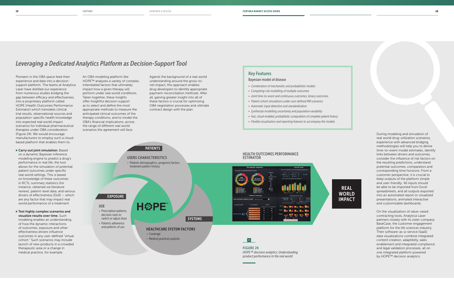

### REAL **WORLD** IMPACT

## *Leveraging a Dedicated Analytics Platform as Decision-Support Tool*

■ Carry out joint simulation. Based on a dynamic Bayesian inference modeling engine to predict a drug's performance in real life, the tool allows for the simulation of potential patient outcomes under specific real world settings. This is based on knowledge of these outcomes in RCTs, summary statistics (for instance, obtained via literature review), patient-level data, and various drivers of effectiveness (DoE) – which are any factor that may impact real world performance of a treatment

Pioneers in the OBA space feed their experience and data into a decisionsupport platform. The teams at Analytica Laser have distilled our experience from numerous studies bridging the gap between efficacy and effectiveness into a proprietary platform called HOPE (Health Outcomes Performance Estimator) which translates clinical trial results, observational sources and population-specific health knowledge into expected real world impact scenarios for individual pharmaceutical therapies under OBA consideration (Figure 24). We would encourage manufacturers to employ such a cloudbased platform that enables them to:

■ Test highly complex scenarios and visualize results over time. Such modeling enables an understanding of how the dynamic interactions of outcomes, exposure and other effectiveness drivers influence outcomes in any user-defined "virtual cohort." Such scenarios may include launch of new products in a crowded therapeutic area or a change in medical practice, for example.

An OBA modeling platform like HOPE™ analyzes a variety of complex, interrelated factors that ultimately impact how a given therapy will perform under real world conditions. Taken together, these insights offer insightful decision support as to select and define the most appropriate methods to measure the anticipated clinical outcomes of the therapy conditions, and to model the OBA's financial implications, across the range of different real world scenarios the agreement will face.

Against the background of a real world understanding around the gross-tonet impact, this approach enables drug developers to identify appropriate payment-reconciliation methods. After all, gaining greater insight into all of these factors is crucial for optimizing OBA negotiation processes and ultimate contract design with the plan.

> During modeling and simulation of real world drug-utilization scenarios, experience with advanced bridging methodologies will help you to derive time-to-event model estimates, identify links between drivers and outcomes, consider the influence of risk factors on the resulting predictions, understand potential outcomes, comparators and corresponding time horizons. From a customer perspective, it is crucial to keep outputs of the platform simple and user-friendly: All inputs should be able to be imported from Excel spreadsheets, and all outputs exported into an automated report or visualized presentations, animated interactive and customizable dashboards.

> On the visualization of value-vased contracting tools, Analytica Laser partners closely with its sister company BaseCase, the customer engagement platform for the life sciences industry. Their software-as-a-service (SaaS) data visualizations combine integrated content creation, adaptibilty, sales enablement and integrated compliance and legal validation processes, all on one integrated platform powered by HOPE™ decision analytics.

### Key Features

Bayesian model of disease

- *• Combination of mechanistic and probabilistic models*
- *• Competing-risk modelling of multiple outcomes*
- *• Joint time-to-event and continuous outcomes, binary outcomes*
- *• Patient cohort simulations under user-defined RW scenarios*
- *• Automatic input detection and standardization*
- *• Synthesize modelling uncertainty and population variability*
- *Fast, cloud-enabled, probabilistic computation of complete patient history*
- *Flexible visualisation and reporting features to accompany the models*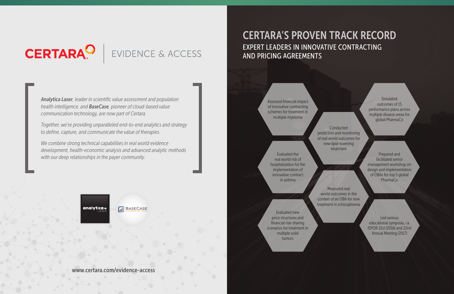# **CERTARA<sup>O</sup>**

## EVIDENCE & ACCESS

21HOW WE HELP CLIENTS CERTARA SETTING UP FOR OBA SUCCESS EVIDENCE & ACCESS **21** CHAPTER ONE MARKET ASSESSMENT 22

*Analytica Laser, leader in scientific value assessment and population health intelligence, and BaseCase, pioneer of cloud-based value communication technology, are now part of Certara.*

*Together, we're providing unparalleled end-to-end analytics and strategy to define, capture, and communicate the value of therapies.*

**Conducted** prediction and monitoring of real world outcomes for new lipid-lowering treatment

*We combine strong technical capabilities in real world evidence development, health-economic analysis and advanced analytic methods with our deep relationships in the payer community.*

Assessed financial impact of innovative contracting schemes for treatment in multiple myeloma

Simulated outcomes of 15 performance plans across multiple disease areas for global PharmaCo

Prepared and facilitated senior management workshop on design and implementation of OBAs for top 5 global PharmaCo

Evaluated the real world risk of hospitalization for the implementation of innovative contract in asthma

Evaluated new price structures and financial risk-sharing scenarios for treatment in multiple solid tumors

analytica.

**M** BASECASE

Measured real world outcomes in the context of an OBA for new treatment in schizophrenia

> Led various educational symposia, i.a. ISPOR 21st (2016) and 22nd Annual Meeting (2017)

CERTARA'S PROVEN TRACK RECORD EXPERT LEADERS IN INNOVATIVE CONTRACTING AND PRICING AGREEMENTS

www.certara.com/evidence-access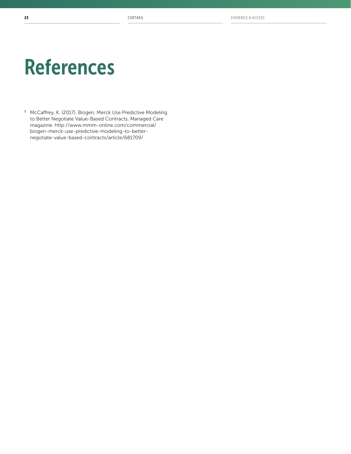# References

<sup>1</sup> McCaffrey, K. (2017), Biogen, Merck Use Predictive Modeling to Better Negotiate Value-Based Contracts, Managed Care magazine. http://www.mmm-online.com/commercial/ biogen-merck-use-predictive-modeling-to-betternegotiate-value-based-contracts/article/681709/